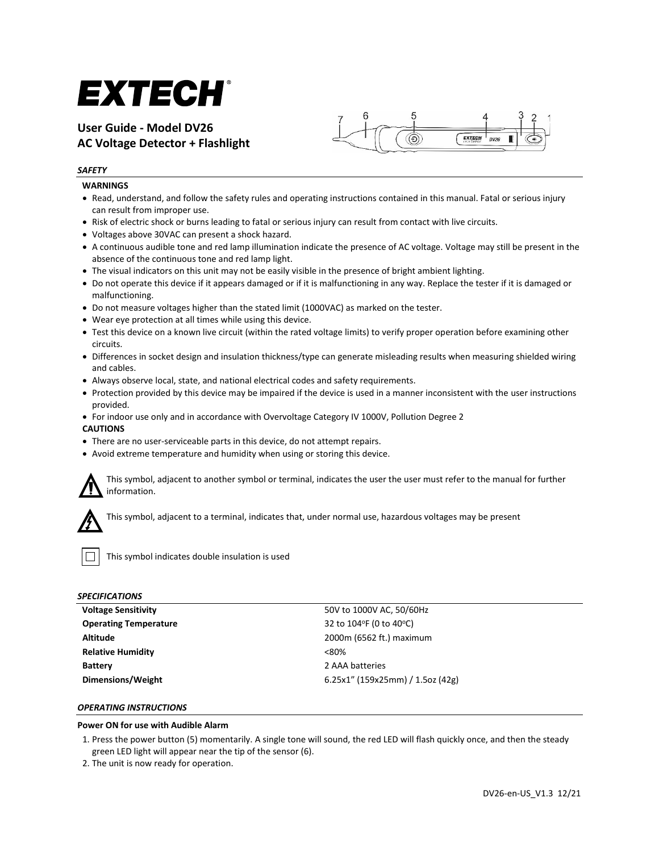# EXTECH®

## **User Guide - Model DV26 AC Voltage Detector + Flashlight**



#### *SAFETY*

#### **WARNINGS**

- Read, understand, and follow the safety rules and operating instructions contained in this manual. Fatal or serious injury can result from improper use.
- Risk of electric shock or burns leading to fatal or serious injury can result from contact with live circuits.
- Voltages above 30VAC can present a shock hazard.
- A continuous audible tone and red lamp illumination indicate the presence of AC voltage. Voltage may still be present in the absence of the continuous tone and red lamp light.
- The visual indicators on this unit may not be easily visible in the presence of bright ambient lighting.
- Do not operate this device if it appears damaged or if it is malfunctioning in any way. Replace the tester if it is damaged or malfunctioning.
- Do not measure voltages higher than the stated limit (1000VAC) as marked on the tester.
- Wear eye protection at all times while using this device.
- Test this device on a known live circuit (within the rated voltage limits) to verify proper operation before examining other circuits.
- Differences in socket design and insulation thickness/type can generate misleading results when measuring shielded wiring and cables.
- Always observe local, state, and national electrical codes and safety requirements.
- Protection provided by this device may be impaired if the device is used in a manner inconsistent with the user instructions provided.
- For indoor use only and in accordance with Overvoltage Category IV 1000V, Pollution Degree 2

#### **CAUTIONS**

- There are no user-serviceable parts in this device, do not attempt repairs.
- Avoid extreme temperature and humidity when using or storing this device.



This symbol, adjacent to another symbol or terminal, indicates the user the user must refer to the manual for further information.



This symbol, adjacent to a terminal, indicates that, under normal use, hazardous voltages may be present



This symbol indicates double insulation is used

#### *SPECIFICATIONS*

| Voltage Sensitivity          | 50V to 1000V AC, 50/60Hz         |
|------------------------------|----------------------------------|
| <b>Operating Temperature</b> | 32 to 104°F (0 to 40°C)          |
| Altitude                     | 2000m (6562 ft.) maximum         |
| <b>Relative Humidity</b>     | < 80%                            |
| <b>Battery</b>               | 2 AAA batteries                  |
| Dimensions/Weight            | 6.25x1" (159x25mm) / 1.5oz (42g) |
|                              |                                  |

### *OPERATING INSTRUCTIONS*

#### **Power ON for use with Audible Alarm**

- 1. Press the power button (5) momentarily. A single tone will sound, the red LED will flash quickly once, and then the steady green LED light will appear near the tip of the sensor (6).
- 2. The unit is now ready for operation.